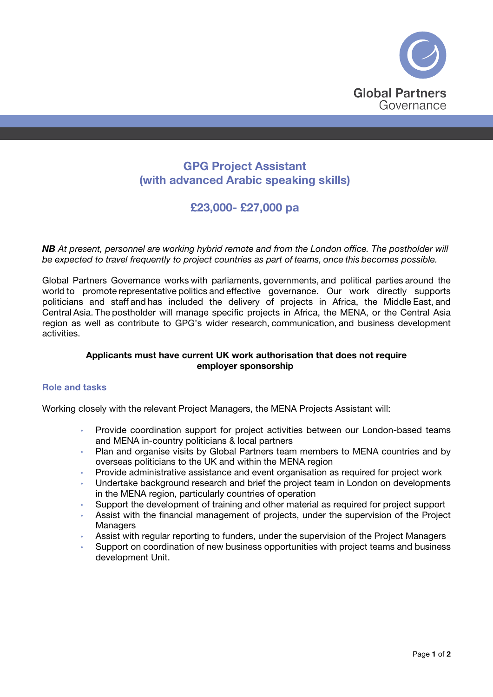

# GPG Project Assistant (with advanced Arabic speaking skills)

## £23,000- £27,000 pa

*NB At present, personnel are working hybrid remote and from the London office. The postholder will be expected to travel frequently to project countries as part of teams, once this becomes possible.*

Global Partners Governance works with parliaments, governments, and political parties around the world to promote representative politics and effective governance. Our work directly supports politicians and staff and has included the delivery of projects in Africa, the Middle East, and Central Asia. The postholder will manage specific projects in Africa, the MENA, or the Central Asia region as well as contribute to GPG's wider research, communication, and business development activities.   

### Applicants must have current UK work authorisation that does not require employer sponsorship

### Role and tasks

Working closely with the relevant Project Managers, the MENA Projects Assistant will:

- Provide coordination support for project activities between our London-based teams and MENA in-country politicians & local partners
- Plan and organise visits by Global Partners team members to MENA countries and by overseas politicians to the UK and within the MENA region
- Provide administrative assistance and event organisation as required for project work
- Undertake background research and brief the project team in London on developments in the MENA region, particularly countries of operation
- Support the development of training and other material as required for project support
- Assist with the financial management of projects, under the supervision of the Project **Managers**
- Assist with regular reporting to funders, under the supervision of the Project Managers
- Support on coordination of new business opportunities with project teams and business development Unit.